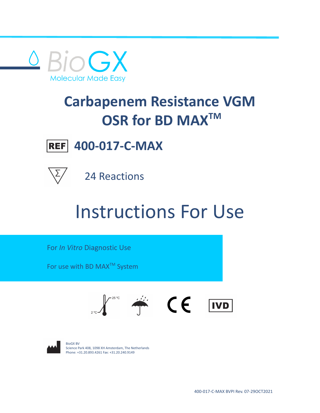

# **Carbapenem Resistance VGM OSR for BD MAXTM**



**400-017-C-MAX**



24 Reactions

# Instructions For Use

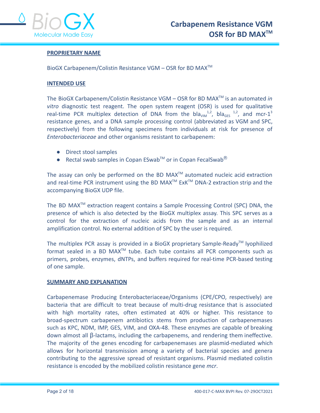

# **PROPRIETARY NAME**

BioGX Carbapenem/Colistin Resistance VGM – OSR for BD MAXTM

# **INTENDED USE**

The BioGX Carbapenem/Colistin Resistance VGM – OSR for BD MAXTM is an automated *in vitro* diagnostic test reagent. The open system reagent (OSR) is used for qualitative real-time PCR multiplex detection of DNA from the  $bla<sub>VIM</sub>$ <sup>1,2</sup>, bla<sub>GES</sub> <sup>1,2</sup>, and mcr-1<sup>3</sup> resistance genes, and a DNA sample processing control (abbreviated as VGM and SPC, respectively) from the following specimens from individuals at risk for presence of *Enterobacteriaceae* and other organisms resistant to carbapenem:

- Direct stool samples
- Rectal swab samples in Copan ESwab™ or in Copan FecalSwab<sup>®</sup>

The assay can only be performed on the BD MAX $^{TM}$  automated nucleic acid extraction and real-time PCR instrument using the BD MAX<sup>™</sup> ExK<sup>™</sup> DNA-2 extraction strip and the accompanying BioGX UDP file.

The BD MAX<sup>™</sup> extraction reagent contains a Sample Processing Control (SPC) DNA, the presence of which is also detected by the BioGX multiplex assay. This SPC serves as a control for the extraction of nucleic acids from the sample and as an internal amplification control. No external addition of SPC by the user is required.

The multiplex PCR assay is provided in a BioGX proprietary Sample-Ready<sup>™</sup> lyophilized format sealed in a BD MAX<sup>™</sup> tube. Each tube contains all PCR components such as primers, probes, enzymes, dNTPs, and buffers required for real-time PCR-based testing of one sample.

#### **SUMMARY AND EXPLANATION**

Carbapenemase Producing Enterobacteriaceae/Organisms (CPE/CPO, respectively) are bacteria that are difficult to treat because of multi-drug resistance that is associated with high mortality rates, often estimated at 40% or higher. This resistance to broad-spectrum carbapenem antibiotics stems from production of carbapenemases such as KPC, NDM, IMP, GES, VIM, and OXA-48. These enzymes are capable of breaking down almost all β-lactams, including the carbapenems, and rendering them ineffective. The majority of the genes encoding for carbapenemases are plasmid-mediated which allows for horizontal transmission among a variety of bacterial species and genera contributing to the aggressive spread of resistant organisms. Plasmid mediated colistin resistance is encoded by the mobilized colistin resistance gene *mcr*.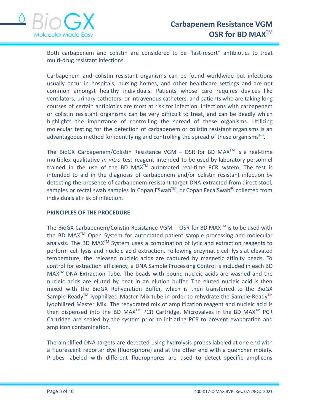

Both carbapenem and colistin are considered to be "last-resort" antibiotics to treat multi-drug resistant infections.

Carbapenem and colistin resistant organisms can be found worldwide but infections usually occur in hospitals, nursing homes, and other healthcare settings and are not common amongst healthy individuals. Patients whose care requires devices like ventilators, urinary catheters, or intravenous catheters, and patients who are taking long courses of certain antibiotics are most at risk for infection. Infections with carbapenem or colistin resistant organisms can be very difficult to treat, and can be deadly which highlights the importance of controlling the spread of these organisms. Utilizing molecular testing for the detection of carbapenem or colistin resistant organisms is an advantageous method for identifying and controlling the spread of these organisms<sup>4-9</sup>.

The BioGX Carbapenem/Colistin Resistance VGM  $-$  OSR for BD MAX<sup>TM</sup> is a real-time multiplex qualitative *in vitro* test reagent intended to be used by laboratory personnel trained in the use of the BD MAX<sup>™</sup> automated real-time PCR system. The test is intended to aid in the diagnosis of carbapenem and/or colistin resistant infection by detecting the presence of carbapenem resistant target DNA extracted from direct stool, samples or rectal swab samples in Copan ESwab<sup>™</sup>, or Copan FecalSwab<sup>®</sup> collected from individuals at risk of infection.

# **PRINCIPLES OF THE PROCEDURE**

The BioGX Carbapenem/Colistin Resistance VGM – OSR for BD MAX<sup>™</sup> is to be used with the BD MAX<sup>™</sup> Open System for automated patient sample processing and molecular analysis. The BD MAX<sup>™</sup> System uses a combination of lytic and extraction reagents to perform cell lysis and nucleic acid extraction. Following enzymatic cell lysis at elevated temperature, the released nucleic acids are captured by magnetic affinity beads. To control for extraction efficiency, a DNA Sample Processing Control is included in each BD  $MAX^{TM}$  DNA Extraction Tube. The beads with bound nucleic acids are washed and the nucleic acids are eluted by heat in an elution buffer. The eluted nucleic acid is then mixed with the BioGX Rehydration Buffer, which is then transferred to the BioGX Sample-Ready<sup>™</sup> lyophilized Master Mix tube in order to rehydrate the Sample-Ready<sup>™</sup> lyophilized Master Mix. The rehydrated mix of amplification reagent and nucleic acid is then dispensed into the BD MAX<sup>TM</sup> PCR Cartridge. Microvalves in the BD MAX<sup>TM</sup> PCR Cartridge are sealed by the system prior to initiating PCR to prevent evaporation and amplicon contamination.

The amplified DNA targets are detected using hydrolysis probes labeled at one end with a fluorescent reporter dye (fluorophore) and at the other end with a quencher moiety. Probes labeled with different fluorophores are used to detect specific amplicons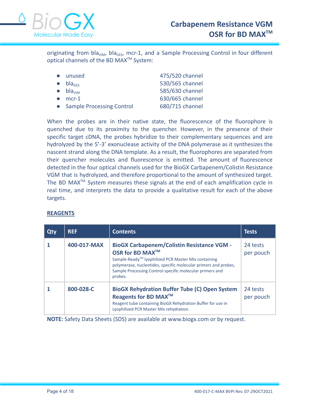

originating from bla<sub>vim</sub>, bla<sub>GES</sub>, mcr-1, and a Sample Processing Control in four different optical channels of the BD MAX<sup>™</sup> System:

| • unused                     | 475/520 channel |
|------------------------------|-----------------|
| $\bullet$ bla <sub>ges</sub> | 530/565 channel |
| $\bullet$ bla <sub>vim</sub> | 585/630 channel |
| $\bullet$ mcr-1              | 630/665 channel |
| • Sample Processing Control  | 680/715 channel |

When the probes are in their native state, the fluorescence of the fluorophore is quenched due to its proximity to the quencher. However, in the presence of their specific target cDNA, the probes hybridize to their complementary sequences and are hydrolyzed by the 5'-3' exonuclease activity of the DNA polymerase as it synthesizes the nascent strand along the DNA template. As a result, the fluorophores are separated from their quencher molecules and fluorescence is emitted. The amount of fluorescence detected in the four optical channels used for the BioGX Carbapenem/Colistin Resistance VGM that is hydrolyzed, and therefore proportional to the amount of synthesized target. The BD MAX<sup>TM</sup> System measures these signals at the end of each amplification cycle in real time, and interprets the data to provide a qualitative result for each of the above targets.

| Qty | <b>REF</b>  | <b>Contents</b>                                                                                                                                                                                                                                                                               | <b>Tests</b>          |
|-----|-------------|-----------------------------------------------------------------------------------------------------------------------------------------------------------------------------------------------------------------------------------------------------------------------------------------------|-----------------------|
|     | 400-017-MAX | <b>BioGX Carbapenem/Colistin Resistance VGM -</b><br>OSR for BD MAX <sup>™</sup><br>Sample-Ready <sup>™</sup> lyophilized PCR Master Mix containing<br>polymerase, nucleotides, specific molecular primers and probes,<br>Sample Processing Control-specific molecular primers and<br>probes. | 24 tests<br>per pouch |
|     | 800-028-C   | <b>BioGX Rehydration Buffer Tube (C) Open System</b><br>Reagents for BD MAX <sup>™</sup><br>Reagent tube containing BioGX Rehydration Buffer for use in<br>Lyophilized PCR Master Mix rehydration.                                                                                            | 24 tests<br>per pouch |

# **REAGENTS**

**NOTE:** Safety Data Sheets (SDS) are available at www.biogx.com or by request.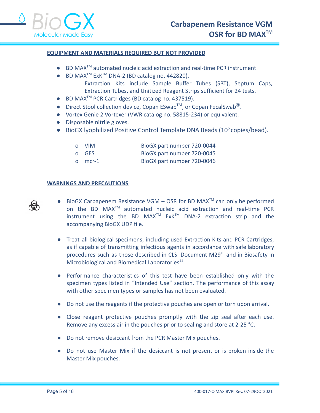# **EQUIPMENT AND MATERIALS REQUIRED BUT NOT PROVIDED**

- BD MAX<sup>™</sup> automated nucleic acid extraction and real-time PCR instrument
- BD MAX<sup>™</sup> ExK<sup>™</sup> DNA-2 (BD catalog no. 442820).
	- Extraction Kits include Sample Buffer Tubes (SBT), Septum Caps, Extraction Tubes, and Unitized Reagent Strips sufficient for 24 tests.
- BD MAX<sup>™</sup> PCR Cartridges (BD catalog no. 437519).
- Direct Stool collection device, Copan ESwab<sup>TM</sup>, or Copan FecalSwab<sup>®</sup>.
- Vortex Genie 2 Vortexer (VWR catalog no. 58815-234) or equivalent.
- Disposable nitrile gloves.
- BioGX lyophilized Positive Control Template DNA Beads (10<sup>5</sup> copies/bead).
	- o VIM BioGX part number 720-0044
	- o GES BioGX part number 720-0045
	- o mcr-1 BioGX part number 720-0046

#### **WARNINGS AND PRECAUTIONS**



- BioGX Carbapenem Resistance VGM  $-$  OSR for BD MAX<sup>™</sup> can only be performed on the BD MAX<sup>™</sup> automated nucleic acid extraction and real-time PCR instrument using the BD MAX<sup>TM</sup>  $ExK^{TM}$  DNA-2 extraction strip and the accompanying BioGX UDP file.
- Treat all biological specimens, including used Extraction Kits and PCR Cartridges, as if capable of transmitting infectious agents in accordance with safe laboratory procedures such as those described in CLSI Document M29<sup>10</sup> and in Biosafety in Microbiological and Biomedical Laboratories<sup>11</sup>.
- Performance characteristics of this test have been established only with the specimen types listed in "Intended Use" section. The performance of this assay with other specimen types or samples has not been evaluated.
- Do not use the reagents if the protective pouches are open or torn upon arrival.
- Close reagent protective pouches promptly with the zip seal after each use. Remove any excess air in the pouches prior to sealing and store at 2-25 °C.
- Do not remove desiccant from the PCR Master Mix pouches.
- Do not use Master Mix if the desiccant is not present or is broken inside the Master Mix pouches.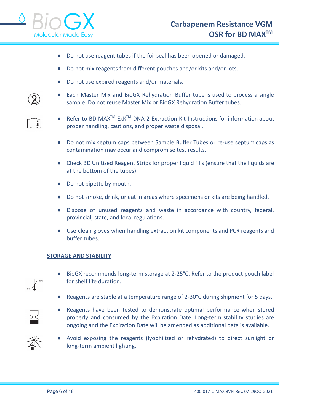

- Do not use reagent tubes if the foil seal has been opened or damaged.
- Do not mix reagents from different pouches and/or kits and/or lots.
- Do not use expired reagents and/or materials.
- Each Master Mix and BioGX Rehydration Buffer tube is used to process a single sample. Do not reuse Master Mix or BioGX Rehydration Buffer tubes.
- Refer to BD MAX<sup>™</sup> ExK<sup>™</sup> DNA-2 Extraction Kit Instructions for information about proper handling, cautions, and proper waste disposal.
- Do not mix septum caps between Sample Buffer Tubes or re-use septum caps as contamination may occur and compromise test results.
- Check BD Unitized Reagent Strips for proper liquid fills (ensure that the liquids are at the bottom of the tubes).
- Do not pipette by mouth.
- Do not smoke, drink, or eat in areas where specimens or kits are being handled.
- Dispose of unused reagents and waste in accordance with country, federal, provincial, state, and local regulations.
- Use clean gloves when handling extraction kit components and PCR reagents and buffer tubes.

# **STORAGE AND STABILITY**

- BioGX recommends long-term storage at 2-25°C. Refer to the product pouch label for shelf life duration.
- Reagents are stable at a temperature range of 2-30°C during shipment for 5 days.
- Reagents have been tested to demonstrate optimal performance when stored properly and consumed by the Expiration Date. Long-term stability studies are ongoing and the Expiration Date will be amended as additional data is available.
- 
- Avoid exposing the reagents (lyophilized or rehydrated) to direct sunlight or long-term ambient lighting.

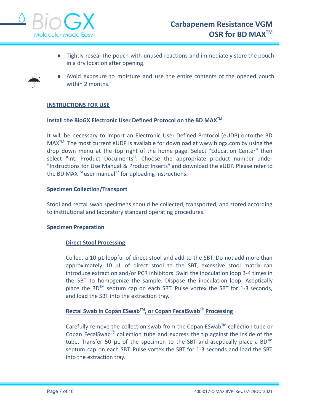

● Tightly reseal the pouch with unused reactions and immediately store the pouch in a dry location after opening.



● Avoid exposure to moisture and use the entire contents of the opened pouch within 2 months.

# **INSTRUCTIONS FOR USE**

# **Install the BioGX Electronic User Defined Protocol on the BD MAXTM**

It will be necessary to import an Electronic User Defined Protocol (eUDP) onto the BD MAX<sup>™</sup>. The most current eUDP is available for download at www.biogx.com by using the drop down menu at the top right of the home page. Select "Education Center'' then select "Int. Product Documents''. Choose the appropriate product number under "Instructions for Use Manual & Product Inserts" and download the eUDP. Please refer to the BD MAX<sup>™</sup> user manual<sup>12</sup> for uploading instructions.

# **Specimen Collection/Transport**

Stool and rectal swab specimens should be collected, transported, and stored according to institutional and laboratory standard operating procedures.

# **Specimen Preparation**

# **Direct Stool Processing**

Collect a 10 µL loopful of direct stool and add to the SBT. Do not add more than approximately 10 µL of direct stool to the SBT, excessive stool matrix can introduce extraction and/or PCR inhibitors. Swirl the inoculation loop 3-4 times in the SBT to homogenize the sample. Dispose the inoculation loop. Aseptically place the BD<sup>™</sup> septum cap on each SBT. Pulse vortex the SBT for 1-3 seconds, and load the SBT into the extraction tray.

# **Rectal Swab in Copan ESwabTM , or Copan FecalSwab**Ⓡ **Processing**

Carefully remove the collection swab from the Copan ESwab**TM** collection tube or Copan FecalSwab<sup>®</sup> collection tube and express the tip against the inside of the tube. Transfer 50 µL of the specimen to the SBT and aseptically place a BD**TM** septum cap on each SBT. Pulse vortex the SBT for 1-3 seconds and load the SBT into the extraction tray.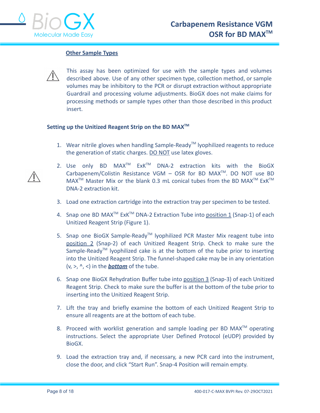

# **Other Sample Types**



This assay has been optimized for use with the sample types and volumes described above. Use of any other specimen type, collection method, or sample volumes may be inhibitory to the PCR or disrupt extraction without appropriate Guardrail and processing volume adjustments. BioGX does not make claims for processing methods or sample types other than those described in this product insert.

# **Setting up the Unitized Reagent Strip on the BD MAXTM**

- 1. Wear nitrile gloves when handling Sample-Ready<sup>™</sup> Iyophilized reagents to reduce the generation of static charges. DO NOT use latex gloves.
- 2. Use only BD  $MAX^{TM}$  ExK<sup>TM</sup> DNA-2 extraction kits with the BioGX Carbapenem/Colistin Resistance VGM  $-$  OSR for BD MAX<sup>TM</sup>. DO NOT use BD  $MAX^{TM}$  Master Mix or the blank 0.3 mL conical tubes from the BD MAX<sup>TM</sup> ExK<sup>TM</sup> DNA-2 extraction kit.
- 3. Load one extraction cartridge into the extraction tray per specimen to be tested.
- 4. Snap one BD MAX<sup>™</sup> ExK<sup>™</sup> DNA-2 Extraction Tube into **position 1** (Snap-1) of each Unitized Reagent Strip (Figure 1).
- 5. Snap one BioGX Sample-Ready<sup>™</sup> lyophilized PCR Master Mix reagent tube into position 2 (Snap-2) of each Unitized Reagent Strip. Check to make sure the Sample-Ready<sup>™</sup> lyophilized cake is at the bottom of the tube prior to inserting into the Unitized Reagent Strip. The funnel-shaped cake may be in any orientation (v, >, ^, <) in the *bottom* of the tube.
- 6. Snap one BioGX Rehydration Buffer tube into position 3 (Snap-3) of each Unitized Reagent Strip. Check to make sure the buffer is at the bottom of the tube prior to inserting into the Unitized Reagent Strip.
- 7. Lift the tray and briefly examine the bottom of each Unitized Reagent Strip to ensure all reagents are at the bottom of each tube.
- 8. Proceed with worklist generation and sample loading per BD MAX<sup>TM</sup> operating instructions. Select the appropriate User Defined Protocol (eUDP) provided by BioGX.
- 9. Load the extraction tray and, if necessary, a new PCR card into the instrument, close the door, and click "Start Run". Snap-4 Position will remain empty.

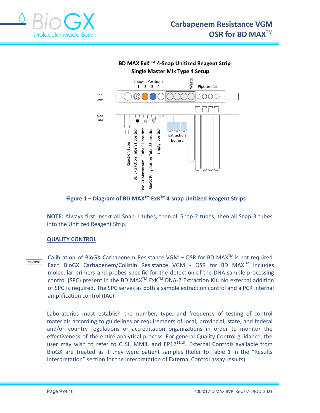



**Figure 1 – Diagram of BD MAXTM ExKTM 4-snap Unitized Reagent Strips**

**NOTE:** Always first insert all Snap-1 tubes, then all Snap-2 tubes, then all Snap-3 tubes into the Unitized Reagent Strip.

# **QUALITY CONTROL**

Calibration of BioGX Carbapenem Resistance VGM  $-$  OSR for BD MAX<sup>TM</sup> is not required. **CONTROL** Each BioGX Carbapenem/Colistin Resistance VGM - OSR for BD MAX<sup>™</sup> includes molecular primers and probes specific for the detection of the DNA sample processing control (SPC) present in the BD MAX<sup>TM</sup> ExK<sup>TM</sup> DNA-2 Extraction Kit. No external addition of SPC is required. The SPC serves as both a sample extraction control and a PCR internal amplification control (IAC).

Laboratories must establish the number, type, and frequency of testing of control materials according to guidelines or requirements of local, provincial, state, and federal and/or country regulations or accreditation organizations in order to monitor the effectiveness of the entire analytical process. For general Quality Control guidance, the user may wish to refer to CLSI, MM3, and EP12<sup>11,13</sup>. External Controls available from BioGX are treated as if they were patient samples (Refer to Table 1 in the "Results Interpretation" section for the interpretation of External Control assay results).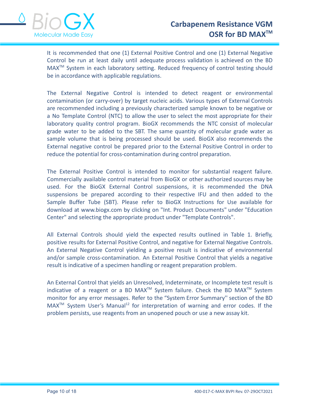

It is recommended that one (1) External Positive Control and one (1) External Negative Control be run at least daily until adequate process validation is achieved on the BD MAX<sup>™</sup> System in each laboratory setting. Reduced frequency of control testing should be in accordance with applicable regulations.

The External Negative Control is intended to detect reagent or environmental contamination (or carry-over) by target nucleic acids. Various types of External Controls are recommended including a previously characterized sample known to be negative or a No Template Control (NTC) to allow the user to select the most appropriate for their laboratory quality control program. BioGX recommends the NTC consist of molecular grade water to be added to the SBT. The same quantity of molecular grade water as sample volume that is being processed should be used. BioGX also recommends the External negative control be prepared prior to the External Positive Control in order to reduce the potential for cross-contamination during control preparation.

The External Positive Control is intended to monitor for substantial reagent failure. Commercially available control material from BioGX or other authorized sources may be used. For the BioGX External Control suspensions, it is recommended the DNA suspensions be prepared according to their respective IFU and then added to the Sample Buffer Tube (SBT). Please refer to BioGX Instructions for Use available for download at [www.biogx.com](http://www.biogx.com) by clicking on "Int. Product Documents" under "Education Center" and selecting the appropriate product under "Template Controls".

All External Controls should yield the expected results outlined in Table 1. Briefly, positive results for External Positive Control, and negative for External Negative Controls. An External Negative Control yielding a positive result is indicative of environmental and/or sample cross-contamination. An External Positive Control that yields a negative result is indicative of a specimen handling or reagent preparation problem.

An External Control that yields an Unresolved, Indeterminate, or Incomplete test result is indicative of a reagent or a BD MAX<sup>™</sup> System failure. Check the BD MAX<sup>™</sup> System monitor for any error messages. Refer to the "System Error Summary'' section of the BD  $MAX^{TM}$  System User's Manual<sup>12</sup> for interpretation of warning and error codes. If the problem persists, use reagents from an unopened pouch or use a new assay kit.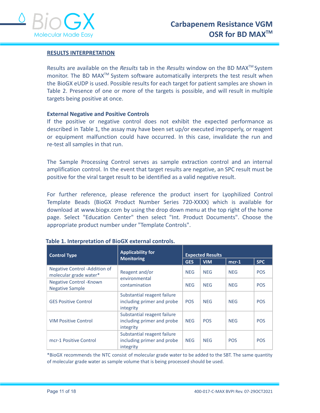

# **RESULTS INTERPRETATION**

Results are available on the *Results* tab in the *Results* window on the BD MAX<sup>™</sup> System monitor. The BD MAX<sup>™</sup> System software automatically interprets the test result when the BioGX eUDP is used. Possible results for each target for patient samples are shown in Table 2. Presence of one or more of the targets is possible, and will result in multiple targets being positive at once.

#### **External Negative and Positive Controls**

If the positive or negative control does not exhibit the expected performance as described in Table 1, the assay may have been set up/or executed improperly, or reagent or equipment malfunction could have occurred. In this case, invalidate the run and re-test all samples in that run.

The Sample Processing Control serves as sample extraction control and an internal amplification control. In the event that target results are negative, an SPC result must be positive for the viral target result to be identified as a valid negative result.

For further reference, please reference the product insert for Lyophilized Control Template Beads (BioGX Product Number Series 720-XXXX) which is available for download at www.biogx.com by using the drop down menu at the top right of the home page. Select "Education Center" then select "Int. Product Documents". Choose the appropriate product number under "Template Controls".

| <b>Control Type</b>                                       | <b>Applicability for</b>                                               | <b>Expected Results</b> |            |            |            |
|-----------------------------------------------------------|------------------------------------------------------------------------|-------------------------|------------|------------|------------|
|                                                           | <b>Monitoring</b>                                                      | <b>GES</b>              | <b>VIM</b> | $mcr-1$    | <b>SPC</b> |
| Negative Control - Addition of<br>molecular grade water*  | Reagent and/or<br>environmental                                        | <b>NEG</b>              | <b>NEG</b> | <b>NEG</b> | <b>POS</b> |
| <b>Negative Control - Known</b><br><b>Negative Sample</b> | contamination                                                          | <b>NEG</b>              | <b>NEG</b> | <b>NEG</b> | <b>POS</b> |
| <b>GES Positive Control</b>                               | Substantial reagent failure<br>including primer and probe<br>integrity | <b>POS</b>              | <b>NEG</b> | <b>NEG</b> | <b>POS</b> |
| <b>VIM Positive Control</b>                               | Substantial reagent failure<br>including primer and probe<br>integrity | <b>NEG</b>              | <b>POS</b> | <b>NEG</b> | <b>POS</b> |
| mcr-1 Positive Control                                    | Substantial reagent failure<br>including primer and probe<br>integrity | <b>NEG</b>              | <b>NEG</b> | <b>POS</b> | <b>POS</b> |

| Table 1. Interpretation of BioGX external controls. |  |  |  |
|-----------------------------------------------------|--|--|--|
|-----------------------------------------------------|--|--|--|

\*BioGX recommends the NTC consist of molecular grade water to be added to the SBT. The same quantity of molecular grade water as sample volume that is being processed should be used.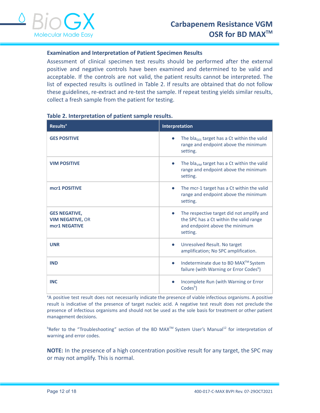

# **Examination and Interpretation of Patient Specimen Results**

Assessment of clinical specimen test results should be performed after the external positive and negative controls have been examined and determined to be valid and acceptable. If the controls are not valid, the patient results cannot be interpreted. The list of expected results is outlined in Table 2. If results are obtained that do not follow these guidelines, re-extract and re-test the sample. If repeat testing yields similar results, collect a fresh sample from the patient for testing.

| <b>Results<sup>a</sup></b>                                       | Interpretation                                                                                                                     |  |  |
|------------------------------------------------------------------|------------------------------------------------------------------------------------------------------------------------------------|--|--|
| <b>GES POSITIVE</b>                                              | The bla <sub>ges</sub> target has a Ct within the valid<br>range and endpoint above the minimum<br>setting.                        |  |  |
| <b>VIM POSITIVE</b>                                              | The bla <sub>vim</sub> target has a Ct within the valid<br>range and endpoint above the minimum<br>setting.                        |  |  |
| mcr1 POSITIVE                                                    | The mcr-1 target has a Ct within the valid<br>range and endpoint above the minimum<br>setting.                                     |  |  |
| <b>GES NEGATIVE,</b><br><b>VIM NEGATIVE, OR</b><br>mcr1 NEGATIVE | The respective target did not amplify and<br>the SPC has a Ct within the valid range<br>and endpoint above the minimum<br>setting. |  |  |
| <b>UNR</b>                                                       | Unresolved Result. No target<br>$\bullet$<br>amplification; No SPC amplification.                                                  |  |  |
| <b>IND</b>                                                       | Indeterminate due to BD MAX™ System<br>$\bullet$<br>failure (with Warning or Error Codes <sup>b</sup> )                            |  |  |
| <b>INC</b>                                                       | Incomplete Run (with Warning or Error<br>Codes <sup>b</sup> )                                                                      |  |  |

# **Table 2. Interpretation of patient sample results.**

<sup>a</sup>A positive test result does not necessarily indicate the presence of viable infectious organisms. A positive result is indicative of the presence of target nucleic acid. A negative test result does not preclude the presence of infectious organisms and should not be used as the sole basis for treatment or other patient management decisions.

 $^{\text{b}}$ Refer to the "Troubleshooting" section of the BD MAX<sup>TM</sup> System User's Manual<sup>12</sup> for interpretation of warning and error codes.

**NOTE:** In the presence of a high concentration positive result for any target, the SPC may or may not amplify. This is normal.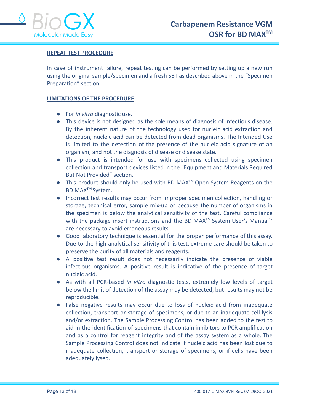

# **REPEAT TEST PROCEDURE**

In case of instrument failure, repeat testing can be performed by setting up a new run using the original sample/specimen and a fresh SBT as described above in the "Specimen Preparation" section.

# **LIMITATIONS OF THE PROCEDURE**

- For *in vitro* diagnostic use.
- This device is not designed as the sole means of diagnosis of infectious disease. By the inherent nature of the technology used for nucleic acid extraction and detection, nucleic acid can be detected from dead organisms. The Intended Use is limited to the detection of the presence of the nucleic acid signature of an organism, and not the diagnosis of disease or disease state.
- This product is intended for use with specimens collected using specimen collection and transport devices listed in the "Equipment and Materials Required But Not Provided" section.
- This product should only be used with BD MAX<sup>™</sup> Open System Reagents on the BD MAX<sup>™</sup> System.
- Incorrect test results may occur from improper specimen collection, handling or storage, technical error, sample mix-up or because the number of organisms in the specimen is below the analytical sensitivity of the test. Careful compliance with the package insert instructions and the BD MAX<sup>TM</sup> System User's Manual<sup>12</sup> are necessary to avoid erroneous results.
- Good laboratory technique is essential for the proper performance of this assay. Due to the high analytical sensitivity of this test, extreme care should be taken to preserve the purity of all materials and reagents.
- A positive test result does not necessarily indicate the presence of viable infectious organisms. A positive result is indicative of the presence of target nucleic acid.
- As with all PCR-based *in vitro* diagnostic tests, extremely low levels of target below the limit of detection of the assay may be detected, but results may not be reproducible.
- False negative results may occur due to loss of nucleic acid from inadequate collection, transport or storage of specimens, or due to an inadequate cell lysis and/or extraction. The Sample Processing Control has been added to the test to aid in the identification of specimens that contain inhibitors to PCR amplification and as a control for reagent integrity and of the assay system as a whole. The Sample Processing Control does not indicate if nucleic acid has been lost due to inadequate collection, transport or storage of specimens, or if cells have been adequately lysed.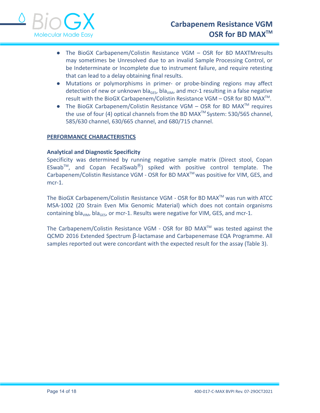

- The BioGX Carbapenem/Colistin Resistance VGM OSR for BD MAXTMresults may sometimes be Unresolved due to an invalid Sample Processing Control, or be Indeterminate or Incomplete due to instrument failure, and require retesting that can lead to a delay obtaining final results.
- Mutations or polymorphisms in primer- or probe-binding regions may affect detection of new or unknown bla<sub>GES</sub>, bla<sub>VIM</sub>, and mcr-1 resulting in a false negative result with the BioGX Carbapenem/Colistin Resistance VGM – OSR for BD MAX<sup>™</sup>.
- The BioGX Carbapenem/Colistin Resistance VGM  $-$  OSR for BD MAX<sup>TM</sup> requires the use of four (4) optical channels from the BD MAX<sup>™</sup> System: 530/565 channel, 585/630 channel, 630/665 channel, and 680/715 channel.

# **PERFORMANCE CHARACTERISTICS**

# **Analytical and Diagnostic Specificity**

Specificity was determined by running negative sample matrix (Direct stool, Copan ESwab<sup>™</sup>, and Copan FecalSwab<sup>®</sup>) spiked with positive control template. The Carbapenem/Colistin Resistance VGM - OSR for BD MAXTM was positive for VIM, GES, and mcr-1.

The BioGX Carbapenem/Colistin Resistance VGM - OSR for BD MAX<sup>™</sup> was run with ATCC MSA-1002 (20 Strain Even Mix Genomic Material) which does not contain organisms containing bla<sub>VIM</sub>, bla<sub>GES</sub>, or mcr-1. Results were negative for VIM, GES, and mcr-1.

The Carbapenem/Colistin Resistance VGM - OSR for BD MAX<sup>TM</sup> was tested against the QCMD 2016 Extended Spectrum β-lactamase and Carbapenemase EQA Programme. All samples reported out were concordant with the expected result for the assay (Table 3).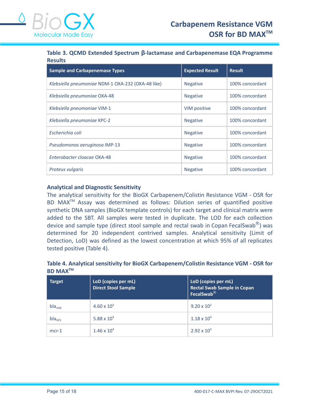**Table 3. QCMD Extended Spectrum β-lactamase and Carbapenemase EQA Programme Results**

| <b>Sample and Carbapenemase Types</b>             | <b>Expected Result</b> | <b>Result</b>   |
|---------------------------------------------------|------------------------|-----------------|
| Klebsiella pneumoniae NDM-1 OXA-232 (OXA-48 like) | <b>Negative</b>        | 100% concordant |
| Klebsiella pneumoniae OXA-48                      | <b>Negative</b>        | 100% concordant |
| Klebsiella pneumoniae VIM-1                       | VIM positive           | 100% concordant |
| Klebsiella pneumoniae KPC-2                       | <b>Negative</b>        | 100% concordant |
| Escherichia coli                                  | <b>Negative</b>        | 100% concordant |
| Pseudomonas aeruginosa IMP-13                     | <b>Negative</b>        | 100% concordant |
| Enterobacter cloacae OXA-48                       | <b>Negative</b>        | 100% concordant |
| Proteus vulgaris                                  | <b>Negative</b>        | 100% concordant |

# **Analytical and Diagnostic Sensitivity**

The analytical sensitivity for the BioGX Carbapenem/Colistin Resistance VGM - OSR for BD MAXTM Assay was determined as follows: Dilution series of quantified positive synthetic DNA samples (BioGX template controls) for each target and clinical matrix were added to the SBT. All samples were tested in duplicate. The LOD for each collection device and sample type (direct stool sample and rectal swab in Copan FecalSwab $\textcircled{8}$ ) was determined for 20 independent contrived samples. Analytical sensitivity (Limit of Detection, LoD) was defined as the lowest concentration at which 95% of all replicates tested positive (Table 4).

# **Table 4. Analytical sensitivity for BioGX Carbapenem/Colistin Resistance VGM - OSR for BD MAXTM**

| <b>Target</b>      | LoD (copies per mL)<br><b>Direct Stool Sample</b> | LoD (copies per mL)<br><b>Rectal Swab Sample in Copan</b><br>FecalSwab <sup>®</sup> |
|--------------------|---------------------------------------------------|-------------------------------------------------------------------------------------|
| bla <sub>VIM</sub> | $4.60 \times 10^{3}$                              | $9.20 \times 10^{2}$                                                                |
| $bla_{GFS}$        | 5.88 x $10^4$                                     | $1.18 \times 10^{4}$                                                                |
| $mcr-1$            | $1.46 \times 10^{4}$                              | $2.92 \times 10^{3}$                                                                |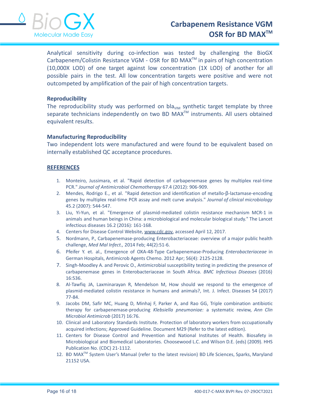

Analytical sensitivity during co-infection was tested by challenging the BioGX Carbapenem/Colistin Resistance VGM - OSR for BD MAX<sup>™</sup> in pairs of high concentration (10,000X LOD) of one target against low concentration (1X LOD) of another for all possible pairs in the test. All low concentration targets were positive and were not outcompeted by amplification of the pair of high concentration targets.

#### **Reproducibility**

The reproducibility study was performed on bla<sub>VIM</sub> synthetic target template by three separate technicians independently on two BD MAX<sup>™</sup> instruments. All users obtained equivalent results.

#### **Manufacturing Reproducibility**

Two independent lots were manufactured and were found to be equivalent based on internally established QC acceptance procedures.

#### **REFERENCES**

- 1. Monteiro, Jussimara, et al. "Rapid detection of carbapenemase genes by multiplex real-time PCR." *Journal of Antimicrobial Chemotherapy* 67.4 (2012): 906-909.
- 2. Mendes, Rodrigo E., et al. "Rapid detection and identification of metallo-β-lactamase-encoding genes by multiplex real-time PCR assay and melt curve analysis." *Journal of clinical microbiology* 45.2 (2007): 544-547.
- 3. Liu, Yi-Yun, et al. "Emergence of plasmid-mediated colistin resistance mechanism MCR-1 in animals and human beings in China: a microbiological and molecular biological study." The Lancet infectious diseases 16.2 (2016): 161-168.
- 4. Centers for Disease Control Website, [www.cdc.gov,](http://www.cdc.gov) accessed April 12, 2017.
- 5. Nordmann, P., Carbapenemase-producing Enterobacteriaceae: overview of a major public health challenge, *Med Mal Infect.,* 2014 Feb; 44(2):51-6.
- 6. Pfeifer Y. et. al., Emergence of OXA-48-Type Carbapenemase-Producing *Enterobacteriaceae* in German Hospitals, Antimicrob Agents Chemo. 2012 Apr; 56(4): 2125-2128.
- 7. Singh-Moodley A. and Perovic O., Antimicrobial susceptibility testing in predicting the presence of carbapenemase genes in Enterobacteriaceae in South Africa. *BMC Infectious Diseases* (2016) 16:536.
- 8. Al-Tawfiq JA, Laxminarayan R, Mendelson M, How should we respond to the emergence of plasmid-mediated colistin resistance in humans and animals?, Int. J. Infect. Diseases 54 (2017) 77-84.
- 9. Jacobs DM, Safir MC, Huang D, Minhaj F, Parker A, and Rao GG, Triple combination antibiotic therapy for carbapenemase-producing *Klebsiella pneumoniae:* a systematic review, *Ann Clin Microbiol Antimicrob* (2017) 16:76.
- 10. Clinical and Laboratory Standards Institute. Protection of laboratory workers from occupationally acquired infections; Approved Guideline. Document M29 (Refer to the latest edition).
- 11. Centers for Disease Control and Prevention and National Institutes of Health. Biosafety in Microbiological and Biomedical Laboratories. Choosewood L.C. and Wilson D.E. (eds) (2009). HHS Publication No. (CDC) 21-1112.
- 12. BD MAX<sup>™</sup> System User's Manual (refer to the latest revision) BD Life Sciences, Sparks, Maryland 21152 USA.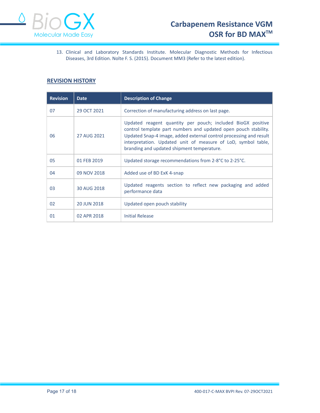

13. Clinical and Laboratory Standards Institute. Molecular Diagnostic Methods for Infectious Diseases, 3rd Edition. Nolte F. S. (2015). Document MM3 (Refer to the latest edition).

# **REVISION HISTORY**

| <b>Revision</b> | <b>Date</b> | <b>Description of Change</b>                                                                                                                                                                                                                                                                                        |  |
|-----------------|-------------|---------------------------------------------------------------------------------------------------------------------------------------------------------------------------------------------------------------------------------------------------------------------------------------------------------------------|--|
| 07              | 29 OCT 2021 | Correction of manufacturing address on last page.                                                                                                                                                                                                                                                                   |  |
| 06              | 27 AUG 2021 | Updated reagent quantity per pouch; included BioGX positive<br>control template part numbers and updated open pouch stability.<br>Updated Snap-4 image, added external control processing and result<br>interpretation. Updated unit of measure of LoD, symbol table,<br>branding and updated shipment temperature. |  |
| 05              | 01 FEB 2019 | Updated storage recommendations from 2-8°C to 2-25°C.                                                                                                                                                                                                                                                               |  |
| 04              | 09 NOV 2018 | Added use of BD ExK 4-snap                                                                                                                                                                                                                                                                                          |  |
| 03              | 30 AUG 2018 | Updated reagents section to reflect new packaging and added<br>performance data                                                                                                                                                                                                                                     |  |
| 02              | 20 JUN 2018 | Updated open pouch stability                                                                                                                                                                                                                                                                                        |  |
| 01              | 02 APR 2018 | <b>Initial Release</b>                                                                                                                                                                                                                                                                                              |  |